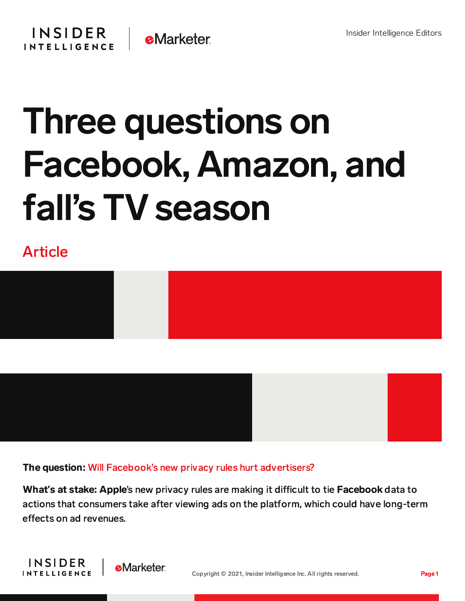

## Three questions on Facebook, Amazon, and fall's TV season

## Article



The question: Will Facebook's new privacy rules hurt advertisers?

What's at stake: Apple's new privacy rules are making it difficult to tie Facebook data to actions that consumers take after viewing ads on the platform, which could have long-term effects on ad revenues.

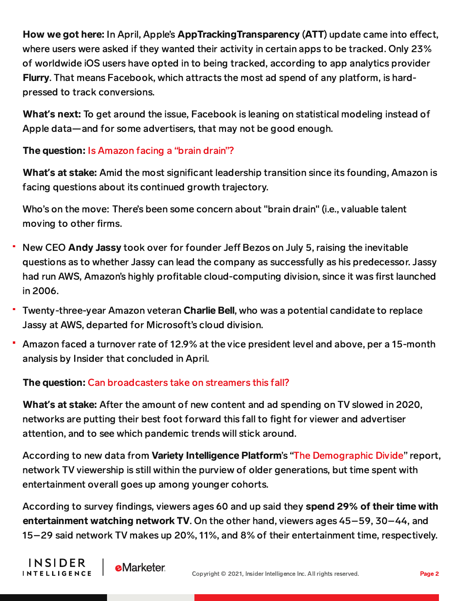How we got here: In April, Apple's AppTrackingTransparency (ATT) update came into effect, where users were asked if they wanted their activity in certain apps to be tracked. Only 23% of worldwide iOS users have opted in to being tracked, according to app analytics provider Flurry. That means Facebook, which attracts the most ad spend of any platform, is hardpressed to track conversions.

What**'**s next: To get around the issue, Facebook is leaning on statistical modeling instead of Apple data—and for some advertisers, that may not be good enough.

## The question: Is Amazon facing a "brain drain"?

What**'**s at stake: Amid the most significant leadership transition since its founding, Amazon is facing questions about its continued growth trajectory.

Who's on the move: There's been some concern about "brain drain" (i.e., valuable talent moving to other firms.

- New CEO Andy Jassy took over for founder Jeff Bezos on July 5, raising the inevitable questions as to whether Jassy can lead the company as successfully as his predecessor. Jassy had run AWS, Amazon's highly profitable cloud-computing division, since it was first launched in 2006.
- Twenty-three-year Amazon veteran Charlie Bell, who was a potential candidate to replace Jassy at AWS, departed for Microsoft's cloud division.
- Amazon faced a turnover rate of 12.9% at the vice president level and above, per a 15-month analysis by Insider that concluded in April.

## The question: Can broadcasters take on streamers this fall?

What**'**s at stake: After the amount of new content and ad spending on TV slowed in 2020, networks are putting their best foot forward this fall to fight for viewer and advertiser attention, and to see which pandemic trends will stick around.

According to new data from Variety Intelligence Platform's "The [Demographic](https://variety.com/vip-special-reports/the-demographic-divide-a-special-report-1235044809/) Divide" report, network TV viewership is still within the purview of older generations, but time spent with entertainment overall goes up among younger cohorts.

According to survey findings, viewers ages 60 and up said they spend 29% of their time with entertainment watching network TV. On the other hand, viewers ages 45–59, 30–44, and 15–29 said network TV makes up 20%, 11%, and 8% of their entertainment time, respectively.